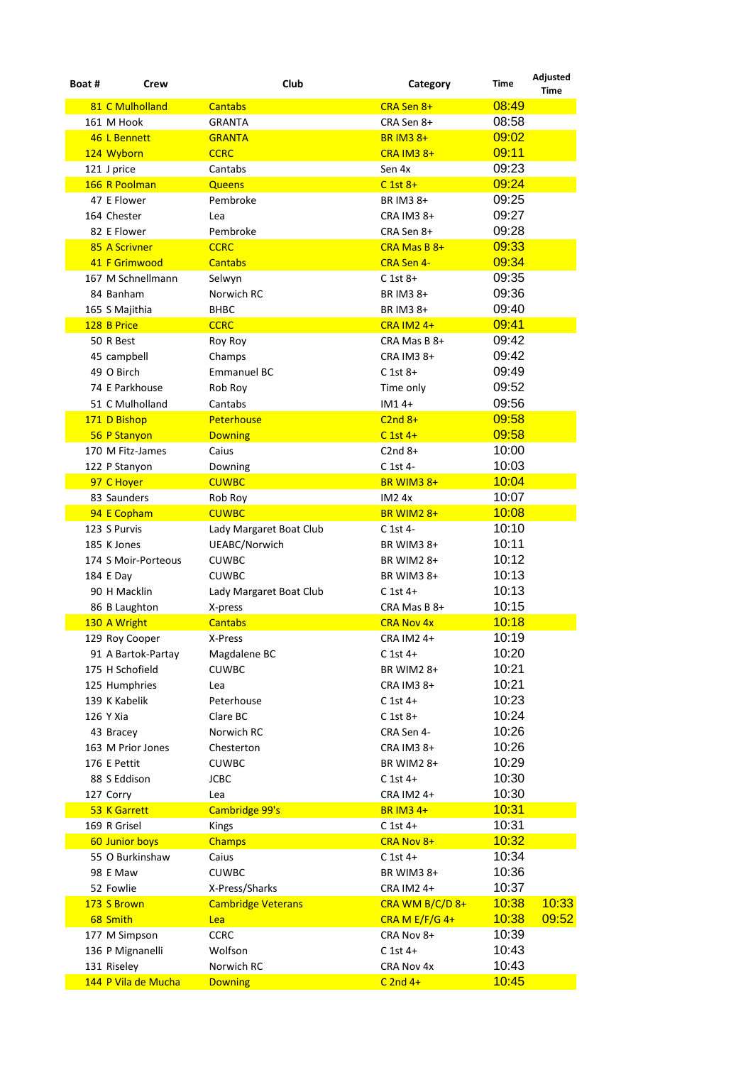| Boat # | Crew                | Club                      | Category                      | Time  | <b>Adjusted</b><br><b>Time</b> |
|--------|---------------------|---------------------------|-------------------------------|-------|--------------------------------|
|        | 81 C Mulholland     | <b>Cantabs</b>            | CRA Sen 8+                    | 08:49 |                                |
|        | 161 M Hook          | <b>GRANTA</b>             | CRA Sen 8+                    | 08:58 |                                |
|        | 46 L Bennett        | <b>GRANTA</b>             | <b>BR IM3 8+</b>              | 09:02 |                                |
|        | 124 Wyborn          | <b>CCRC</b>               | $CRA$ IM3 $8+$                | 09:11 |                                |
|        | 121 J price         | Cantabs                   | Sen 4x                        | 09:23 |                                |
|        | 166 R Poolman       | <b>Queens</b>             | $C$ 1st $8+$                  | 09:24 |                                |
|        | 47 E Flower         | Pembroke                  | BR IM3 8+                     | 09:25 |                                |
|        | 164 Chester         | Lea                       | CRA IM3 8+                    | 09:27 |                                |
|        | 82 E Flower         | Pembroke                  | CRA Sen 8+                    | 09:28 |                                |
|        | 85 A Scrivner       | <b>CCRC</b>               | CRA Mas B 8+                  | 09:33 |                                |
|        | 41 F Grimwood       | <b>Cantabs</b>            | <b>CRA Sen 4-</b>             | 09:34 |                                |
|        | 167 M Schnellmann   | Selwyn                    | $C$ 1st 8+                    | 09:35 |                                |
|        | 84 Banham           | Norwich RC                | BR IM3 8+                     | 09:36 |                                |
|        | 165 S Majithia      | <b>BHBC</b>               | BR IM3 8+                     | 09:40 |                                |
|        | 128 B Price         | <b>CCRC</b>               | $CRA$ IM2 $4+$                | 09:41 |                                |
|        | 50 R Best           | Roy Roy                   | CRA Mas B 8+                  | 09:42 |                                |
|        | 45 campbell         | Champs                    | <b>CRA IM3 8+</b>             | 09:42 |                                |
|        | 49 O Birch          | <b>Emmanuel BC</b>        | $C$ 1st 8+                    | 09:49 |                                |
|        | 74 E Parkhouse      | Rob Roy                   | Time only                     | 09:52 |                                |
|        | 51 C Mulholland     | Cantabs                   | $IM14+$                       | 09:56 |                                |
|        | 171 D Bishop        | <b>Peterhouse</b>         | $C2nd8+$                      | 09:58 |                                |
|        | 56 P Stanyon        | <b>Downing</b>            | $C$ 1st 4+                    | 09:58 |                                |
|        | 170 M Fitz-James    | Caius                     | $C2nd 8+$                     | 10:00 |                                |
|        |                     |                           |                               | 10:03 |                                |
|        | 122 P Stanyon       | Downing<br><b>CUWBC</b>   | C 1st 4-<br><b>BR WIM3 8+</b> | 10:04 |                                |
|        | 97 C Hoyer          |                           |                               | 10:07 |                                |
|        | 83 Saunders         | Rob Roy                   | <b>IM24x</b>                  | 10:08 |                                |
|        | 94 E Copham         | <b>CUWBC</b>              | <b>BR WIM2 8+</b>             |       |                                |
|        | 123 S Purvis        | Lady Margaret Boat Club   | C 1st 4-                      | 10:10 |                                |
|        | 185 K Jones         | UEABC/Norwich             | BR WIM3 8+                    | 10:11 |                                |
|        | 174 S Moir-Porteous | <b>CUWBC</b>              | BR WIM2 8+                    | 10:12 |                                |
|        | 184 E Day           | <b>CUWBC</b>              | BR WIM3 8+                    | 10:13 |                                |
|        | 90 H Macklin        | Lady Margaret Boat Club   | $C$ 1st 4+                    | 10:13 |                                |
|        | 86 B Laughton       | X-press                   | CRA Mas B 8+                  | 10:15 |                                |
|        | 130 A Wright        | <b>Cantabs</b>            | <b>CRA Nov 4x</b>             | 10:18 |                                |
|        | 129 Roy Cooper      | X-Press                   | CRA IM2 4+                    | 10:19 |                                |
|        | 91 A Bartok-Partay  | Magdalene BC              | $C$ 1st 4+                    | 10:20 |                                |
|        | 175 H Schofield     | <b>CUWBC</b>              | <b>BR WIM2 8+</b>             | 10:21 |                                |
|        | 125 Humphries       | Lea                       | CRA IM3 8+                    | 10:21 |                                |
|        | 139 K Kabelik       | Peterhouse                | $C$ 1st 4+                    | 10:23 |                                |
|        | 126 Y Xia           | Clare BC                  | $C$ 1st 8+                    | 10:24 |                                |
|        | 43 Bracey           | Norwich RC                | CRA Sen 4-                    | 10:26 |                                |
|        | 163 M Prior Jones   | Chesterton                | CRA IM3 8+                    | 10:26 |                                |
|        | 176 E Pettit        | <b>CUWBC</b>              | <b>BR WIM2 8+</b>             | 10:29 |                                |
|        | 88 S Eddison        | <b>JCBC</b>               | $C$ 1st 4+                    | 10:30 |                                |
|        | 127 Corry           | Lea                       | CRA IM2 4+                    | 10:30 |                                |
|        | 53 K Garrett        | Cambridge 99's            | <b>BR IM3 4+</b>              | 10:31 |                                |
|        | 169 R Grisel        | Kings                     | $C$ 1st 4+                    | 10:31 |                                |
|        | 60 Junior boys      | <b>Champs</b>             | CRA Nov 8+                    | 10:32 |                                |
|        | 55 O Burkinshaw     | Caius                     | $C$ 1st 4+                    | 10:34 |                                |
|        | 98 E Maw            | <b>CUWBC</b>              | BR WIM3 8+                    | 10:36 |                                |
|        | 52 Fowlie           | X-Press/Sharks            | CRA IM2 4+                    | 10:37 |                                |
|        | 173 S Brown         | <b>Cambridge Veterans</b> | CRA WM B/C/D 8+               | 10:38 | 10:33                          |
|        | 68 Smith            | Lea                       | CRA M $E/F/G$ 4+              | 10:38 | 09:52                          |
|        | 177 M Simpson       | <b>CCRC</b>               | CRA Nov 8+                    | 10:39 |                                |
|        | 136 P Mignanelli    | Wolfson                   | $C$ 1st 4+                    | 10:43 |                                |
|        | 131 Riseley         | Norwich RC                | CRA Nov 4x                    | 10:43 |                                |
|        | 144 P Vila de Mucha | <b>Downing</b>            | $C$ 2nd 4+                    | 10:45 |                                |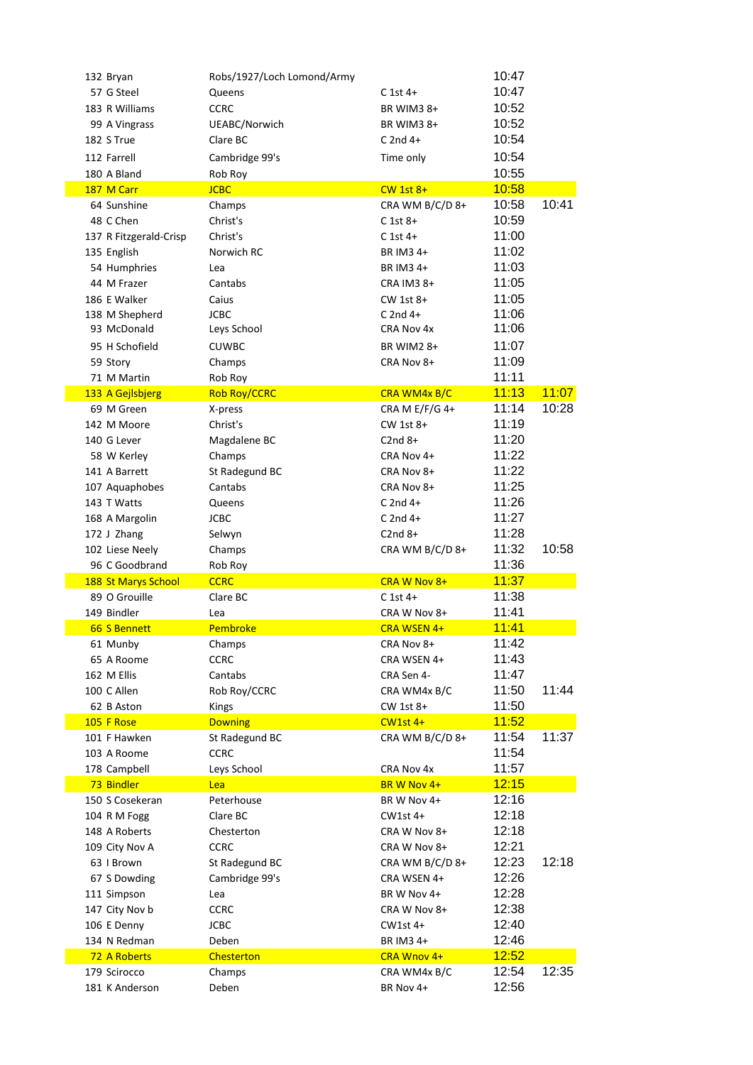| 132 Bryan              | Robs/1927/Loch Lomond/Army |                   | 10:47        |       |
|------------------------|----------------------------|-------------------|--------------|-------|
| 57 G Steel             | Queens                     | $C$ 1st 4+        | 10:47        |       |
| 183 R Williams         | <b>CCRC</b>                | BR WIM3 8+        | 10:52        |       |
| 99 A Vingrass          | UEABC/Norwich              | BR WIM3 8+        | 10:52        |       |
| 182 S True             | Clare BC                   | $C$ 2nd 4+        | 10:54        |       |
| 112 Farrell            | Cambridge 99's             | Time only         | 10:54        |       |
| 180 A Bland            | Rob Roy                    |                   | 10:55        |       |
| 187 M Carr             | <b>JCBC</b>                | $CW$ 1st $8+$     | 10:58        |       |
| 64 Sunshine            | Champs                     | CRA WM B/C/D 8+   | 10:58        | 10:41 |
| 48 C Chen              | Christ's                   | $C$ 1st 8+        | 10:59        |       |
| 137 R Fitzgerald-Crisp | Christ's                   | $C$ 1st 4+        | 11:00        |       |
| 135 English            | Norwich RC                 | BR IM3 4+         | 11:02        |       |
| 54 Humphries           | Lea                        | BR IM3 4+         | 11:03        |       |
| 44 M Frazer            | Cantabs                    | CRA IM3 8+        | 11:05        |       |
| 186 E Walker           | Caius                      | $CW$ 1st $8+$     | 11:05        |       |
| 138 M Shepherd         | <b>JCBC</b>                | $C$ 2nd 4+        | 11:06        |       |
| 93 McDonald            | Leys School                | CRA Nov 4x        | 11:06        |       |
| 95 H Schofield         | <b>CUWBC</b>               | <b>BR WIM2 8+</b> | 11:07        |       |
| 59 Story               | Champs                     | CRA Nov 8+        | 11:09        |       |
| 71 M Martin            | Rob Roy                    |                   | 11:11        |       |
| 133 A Gejlsbjerg       | <b>Rob Roy/CCRC</b>        | CRA WM4x B/C      | 11:13        | 11:07 |
| 69 M Green             | X-press                    | CRA M E/F/G 4+    | 11:14        | 10:28 |
| 142 M Moore            | Christ's                   | CW 1st 8+         | 11:19        |       |
| 140 G Lever            | Magdalene BC               | $C2nd8+$          | 11:20        |       |
| 58 W Kerley            | Champs                     | CRA Nov 4+        | 11:22        |       |
| 141 A Barrett          | St Radegund BC             | CRA Nov 8+        | 11:22        |       |
| 107 Aquaphobes         | Cantabs                    | CRA Nov 8+        | 11:25        |       |
|                        |                            | $C$ 2nd 4+        | 11:26        |       |
| 143 T Watts            | Queens                     |                   | 11:27        |       |
| 168 A Margolin         | <b>JCBC</b>                | $C$ 2nd 4+        | 11:28        |       |
| 172 J Zhang            | Selwyn                     | $C2nd 8+$         |              |       |
| 102 Liese Neely        | Champs                     | CRA WM B/C/D 8+   | 11:32        | 10:58 |
| 96 C Goodbrand         | Rob Roy                    |                   | 11:36        |       |
| 188 St Marys School    | <b>CCRC</b>                | CRA W Nov 8+      | 11:37        |       |
| 89 O Grouille          | Clare BC                   | $C$ 1st 4+        | 11:38        |       |
| 149 Bindler            | Lea                        | CRA W Nov 8+      | 11:41        |       |
| 66 S Bennett           | Pembroke                   | CRA WSEN 4+       | <u>11:41</u> |       |
| 61 Munby               | Champs                     | CRA Nov 8+        | 11:42        |       |
| 65 A Roome             | <b>CCRC</b>                | CRA WSEN 4+       | 11:43        |       |
| 162 M Ellis            | Cantabs                    | CRA Sen 4-        | 11:47        |       |
| 100 C Allen            | Rob Roy/CCRC               | CRA WM4x B/C      | 11:50        | 11:44 |
| 62 B Aston             | Kings                      | CW 1st 8+         | 11:50        |       |
| 105 F Rose             | <b>Downing</b>             | $CW1st$ 4+        | 11:52        |       |
| 101 F Hawken           | St Radegund BC             | CRA WM B/C/D 8+   | 11:54        | 11:37 |
| 103 A Roome            | <b>CCRC</b>                |                   | 11:54        |       |
| 178 Campbell           | Leys School                | CRA Nov 4x        | 11:57        |       |
| 73 Bindler             | Lea                        | BR W Nov 4+       | 12:15        |       |
| 150 S Cosekeran        | Peterhouse                 | BR W Nov 4+       | 12:16        |       |
| 104 R M Fogg           | Clare BC                   | $CW1st$ 4+        | 12:18        |       |
| 148 A Roberts          | Chesterton                 | CRA W Nov 8+      | 12:18        |       |
| 109 City Nov A         | <b>CCRC</b>                | CRA W Nov 8+      | 12:21        |       |
| 63 I Brown             | St Radegund BC             | CRA WM B/C/D 8+   | 12:23        | 12:18 |
| 67 S Dowding           | Cambridge 99's             | CRA WSEN 4+       | 12:26        |       |
| 111 Simpson            | Lea                        | BR W Nov 4+       | 12:28        |       |
| 147 City Nov b         | <b>CCRC</b>                | CRA W Nov 8+      | 12:38        |       |
| 106 E Denny            | JCBC                       | CW1st 4+          | 12:40        |       |
| 134 N Redman           | Deben                      | BR IM3 4+         | 12:46        |       |
| 72 A Roberts           | <b>Chesterton</b>          | CRA Wnov 4+       | 12:52        |       |
| 179 Scirocco           | Champs                     | CRA WM4x B/C      | 12:54        | 12:35 |
| 181 K Anderson         | Deben                      | BR Nov 4+         | 12:56        |       |
|                        |                            |                   |              |       |